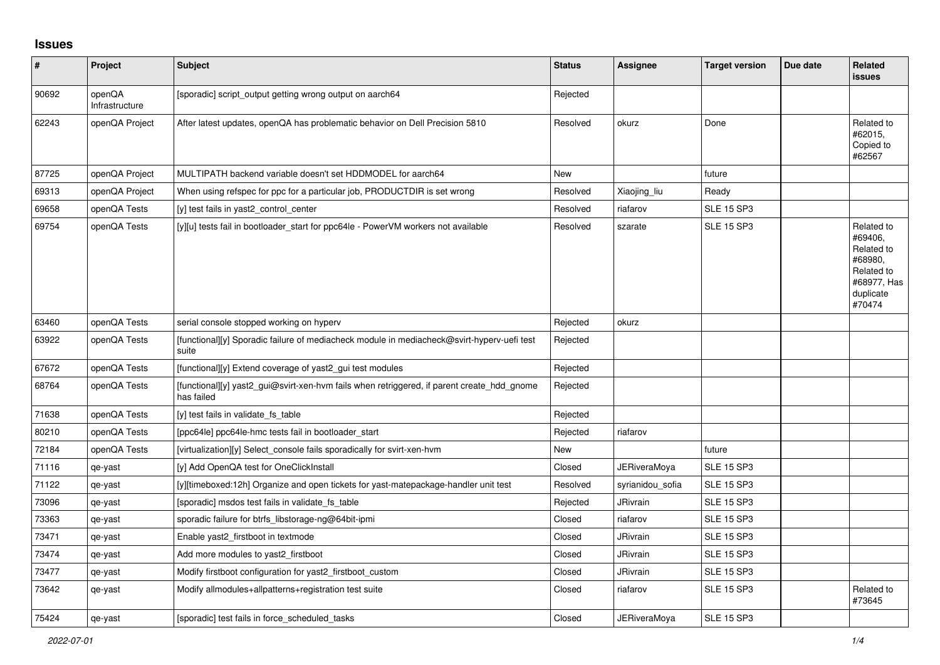## **Issues**

| #     | Project                  | Subject                                                                                                  | <b>Status</b> | Assignee            | <b>Target version</b> | Due date | Related<br><b>issues</b>                                                                           |
|-------|--------------------------|----------------------------------------------------------------------------------------------------------|---------------|---------------------|-----------------------|----------|----------------------------------------------------------------------------------------------------|
| 90692 | openQA<br>Infrastructure | [sporadic] script_output getting wrong output on aarch64                                                 | Rejected      |                     |                       |          |                                                                                                    |
| 62243 | openQA Project           | After latest updates, openQA has problematic behavior on Dell Precision 5810                             | Resolved      | okurz               | Done                  |          | Related to<br>#62015,<br>Copied to<br>#62567                                                       |
| 87725 | openQA Project           | MULTIPATH backend variable doesn't set HDDMODEL for aarch64                                              | <b>New</b>    |                     | future                |          |                                                                                                    |
| 69313 | openQA Project           | When using refspec for ppc for a particular job, PRODUCTDIR is set wrong                                 | Resolved      | Xiaojing_liu        | Ready                 |          |                                                                                                    |
| 69658 | openQA Tests             | [y] test fails in yast2 control center                                                                   | Resolved      | riafarov            | <b>SLE 15 SP3</b>     |          |                                                                                                    |
| 69754 | openQA Tests             | [y][u] tests fail in bootloader start for ppc64le - PowerVM workers not available                        | Resolved      | szarate             | <b>SLE 15 SP3</b>     |          | Related to<br>#69406,<br>Related to<br>#68980,<br>Related to<br>#68977, Has<br>duplicate<br>#70474 |
| 63460 | openQA Tests             | serial console stopped working on hyperv                                                                 | Rejected      | okurz               |                       |          |                                                                                                    |
| 63922 | openQA Tests             | [functional][y] Sporadic failure of mediacheck module in mediacheck@svirt-hyperv-uefi test<br>suite      | Rejected      |                     |                       |          |                                                                                                    |
| 67672 | openQA Tests             | [functional][y] Extend coverage of yast2_gui test modules                                                | Rejected      |                     |                       |          |                                                                                                    |
| 68764 | openQA Tests             | [functional][y] yast2_gui@svirt-xen-hvm fails when retriggered, if parent create_hdd_gnome<br>has failed | Rejected      |                     |                       |          |                                                                                                    |
| 71638 | openQA Tests             | [y] test fails in validate_fs_table                                                                      | Rejected      |                     |                       |          |                                                                                                    |
| 80210 | openQA Tests             | [ppc64le] ppc64le-hmc tests fail in bootloader start                                                     | Rejected      | riafarov            |                       |          |                                                                                                    |
| 72184 | openQA Tests             | [virtualization][y] Select console fails sporadically for svirt-xen-hvm                                  | <b>New</b>    |                     | future                |          |                                                                                                    |
| 71116 | qe-yast                  | [y] Add OpenQA test for OneClickInstall                                                                  | Closed        | JERiveraMoya        | <b>SLE 15 SP3</b>     |          |                                                                                                    |
| 71122 | qe-yast                  | [y][timeboxed:12h] Organize and open tickets for yast-matepackage-handler unit test                      | Resolved      | syrianidou_sofia    | <b>SLE 15 SP3</b>     |          |                                                                                                    |
| 73096 | qe-yast                  | [sporadic] msdos test fails in validate fs table                                                         | Rejected      | <b>JRivrain</b>     | <b>SLE 15 SP3</b>     |          |                                                                                                    |
| 73363 | qe-yast                  | sporadic failure for btrfs libstorage-ng@64bit-ipmi                                                      | Closed        | riafarov            | <b>SLE 15 SP3</b>     |          |                                                                                                    |
| 73471 | qe-yast                  | Enable yast2 firstboot in textmode                                                                       | Closed        | <b>JRivrain</b>     | <b>SLE 15 SP3</b>     |          |                                                                                                    |
| 73474 | qe-yast                  | Add more modules to yast2_firstboot                                                                      | Closed        | JRivrain            | <b>SLE 15 SP3</b>     |          |                                                                                                    |
| 73477 | qe-yast                  | Modify firstboot configuration for yast2_firstboot_custom                                                | Closed        | <b>JRivrain</b>     | <b>SLE 15 SP3</b>     |          |                                                                                                    |
| 73642 | qe-yast                  | Modify allmodules+allpatterns+registration test suite                                                    | Closed        | riafarov            | <b>SLE 15 SP3</b>     |          | Related to<br>#73645                                                                               |
| 75424 | qe-yast                  | [sporadic] test fails in force scheduled tasks                                                           | Closed        | <b>JERiveraMova</b> | <b>SLE 15 SP3</b>     |          |                                                                                                    |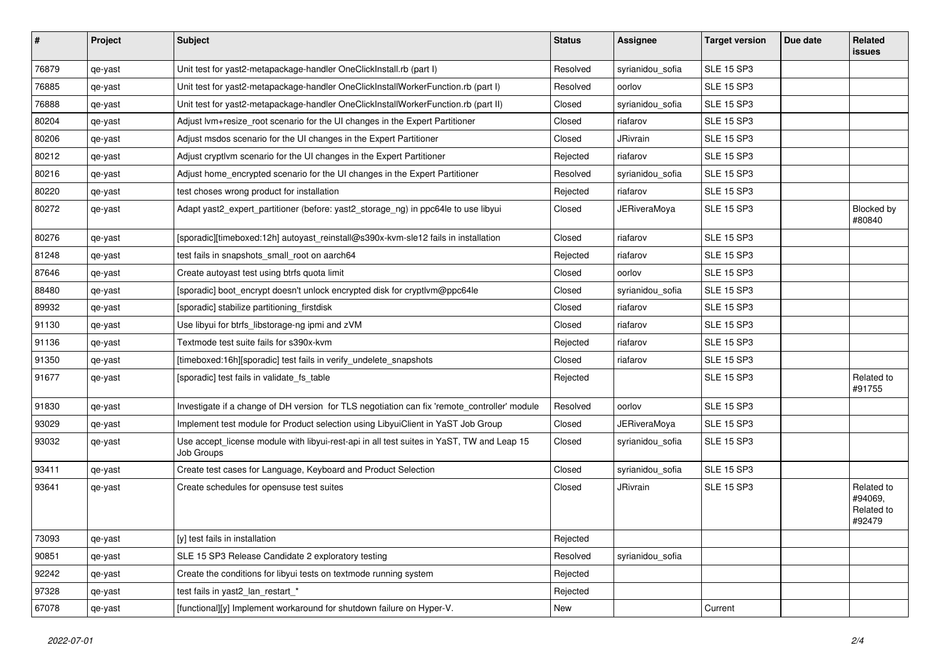| $\sharp$ | Project | <b>Subject</b>                                                                                          | <b>Status</b> | Assignee            | <b>Target version</b> | Due date | Related<br>issues                             |
|----------|---------|---------------------------------------------------------------------------------------------------------|---------------|---------------------|-----------------------|----------|-----------------------------------------------|
| 76879    | qe-yast | Unit test for yast2-metapackage-handler OneClickInstall.rb (part I)                                     | Resolved      | syrianidou_sofia    | <b>SLE 15 SP3</b>     |          |                                               |
| 76885    | qe-yast | Unit test for yast2-metapackage-handler OneClickInstallWorkerFunction.rb (part I)                       | Resolved      | oorlov              | <b>SLE 15 SP3</b>     |          |                                               |
| 76888    | qe-yast | Unit test for yast2-metapackage-handler OneClickInstallWorkerFunction.rb (part II)                      | Closed        | syrianidou_sofia    | <b>SLE 15 SP3</b>     |          |                                               |
| 80204    | qe-yast | Adjust lvm+resize_root scenario for the UI changes in the Expert Partitioner                            | Closed        | riafarov            | <b>SLE 15 SP3</b>     |          |                                               |
| 80206    | qe-yast | Adjust msdos scenario for the UI changes in the Expert Partitioner                                      | Closed        | JRivrain            | <b>SLE 15 SP3</b>     |          |                                               |
| 80212    | qe-yast | Adjust cryptlvm scenario for the UI changes in the Expert Partitioner                                   | Rejected      | riafarov            | <b>SLE 15 SP3</b>     |          |                                               |
| 80216    | qe-yast | Adjust home_encrypted scenario for the UI changes in the Expert Partitioner                             | Resolved      | syrianidou_sofia    | <b>SLE 15 SP3</b>     |          |                                               |
| 80220    | qe-yast | test choses wrong product for installation                                                              | Rejected      | riafarov            | <b>SLE 15 SP3</b>     |          |                                               |
| 80272    | qe-yast | Adapt yast2_expert_partitioner (before: yast2_storage_ng) in ppc64le to use libyui                      | Closed        | <b>JERiveraMoya</b> | <b>SLE 15 SP3</b>     |          | Blocked by<br>#80840                          |
| 80276    | qe-yast | [sporadic][timeboxed:12h] autoyast_reinstall@s390x-kvm-sle12 fails in installation                      | Closed        | riafarov            | <b>SLE 15 SP3</b>     |          |                                               |
| 81248    | qe-yast | test fails in snapshots_small_root on aarch64                                                           | Rejected      | riafarov            | <b>SLE 15 SP3</b>     |          |                                               |
| 87646    | qe-yast | Create autoyast test using btrfs quota limit                                                            | Closed        | oorlov              | <b>SLE 15 SP3</b>     |          |                                               |
| 88480    | qe-yast | [sporadic] boot_encrypt doesn't unlock encrypted disk for cryptlvm@ppc64le                              | Closed        | syrianidou_sofia    | <b>SLE 15 SP3</b>     |          |                                               |
| 89932    | qe-yast | [sporadic] stabilize partitioning firstdisk                                                             | Closed        | riafarov            | <b>SLE 15 SP3</b>     |          |                                               |
| 91130    | qe-yast | Use libyui for btrfs_libstorage-ng ipmi and zVM                                                         | Closed        | riafarov            | <b>SLE 15 SP3</b>     |          |                                               |
| 91136    | qe-yast | Textmode test suite fails for s390x-kvm                                                                 | Rejected      | riafarov            | <b>SLE 15 SP3</b>     |          |                                               |
| 91350    | qe-yast | [timeboxed:16h][sporadic] test fails in verify_undelete_snapshots                                       | Closed        | riafarov            | <b>SLE 15 SP3</b>     |          |                                               |
| 91677    | qe-yast | [sporadic] test fails in validate_fs_table                                                              | Rejected      |                     | <b>SLE 15 SP3</b>     |          | Related to<br>#91755                          |
| 91830    | qe-yast | Investigate if a change of DH version for TLS negotiation can fix 'remote_controller' module            | Resolved      | oorlov              | <b>SLE 15 SP3</b>     |          |                                               |
| 93029    | qe-yast | Implement test module for Product selection using LibyuiClient in YaST Job Group                        | Closed        | <b>JERiveraMoya</b> | <b>SLE 15 SP3</b>     |          |                                               |
| 93032    | qe-yast | Use accept_license module with libyui-rest-api in all test suites in YaST, TW and Leap 15<br>Job Groups | Closed        | syrianidou_sofia    | <b>SLE 15 SP3</b>     |          |                                               |
| 93411    | qe-yast | Create test cases for Language, Keyboard and Product Selection                                          | Closed        | syrianidou_sofia    | <b>SLE 15 SP3</b>     |          |                                               |
| 93641    | qe-yast | Create schedules for opensuse test suites                                                               | Closed        | JRivrain            | <b>SLE 15 SP3</b>     |          | Related to<br>#94069,<br>Related to<br>#92479 |
| 73093    | qe-yast | [y] test fails in installation                                                                          | Rejected      |                     |                       |          |                                               |
| 90851    | qe-yast | SLE 15 SP3 Release Candidate 2 exploratory testing                                                      | Resolved      | syrianidou_sofia    |                       |          |                                               |
| 92242    | qe-yast | Create the conditions for libyui tests on textmode running system                                       | Rejected      |                     |                       |          |                                               |
| 97328    | qe-yast | test fails in yast2_lan_restart_*                                                                       | Rejected      |                     |                       |          |                                               |
| 67078    | qe-yast | [functional][y] Implement workaround for shutdown failure on Hyper-V.                                   | New           |                     | Current               |          |                                               |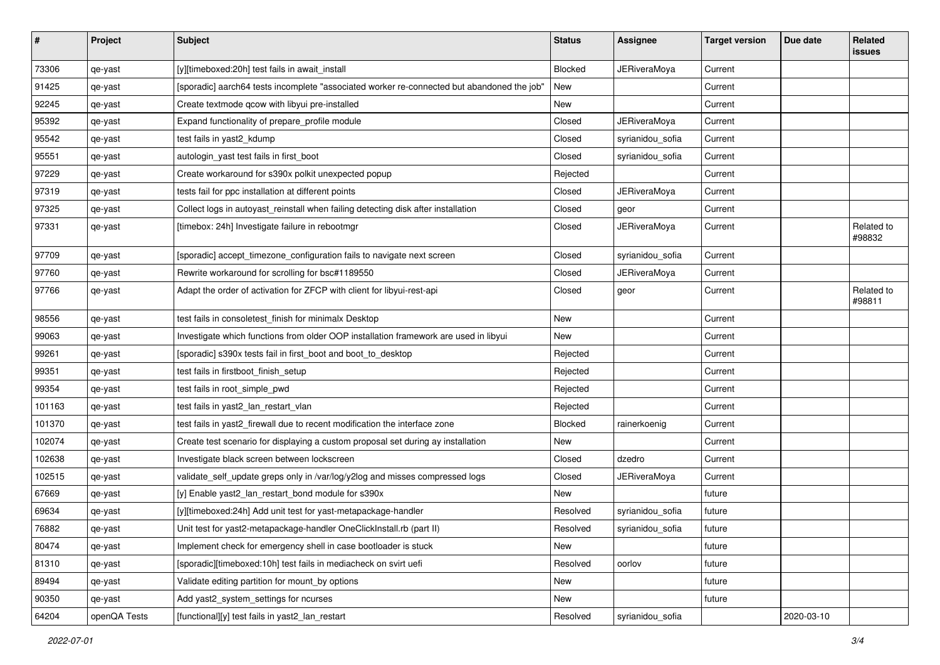| #      | Project      | <b>Subject</b>                                                                             | <b>Status</b> | Assignee            | <b>Target version</b> | Due date   | Related<br>issues    |
|--------|--------------|--------------------------------------------------------------------------------------------|---------------|---------------------|-----------------------|------------|----------------------|
| 73306  | qe-yast      | [y][timeboxed:20h] test fails in await_install                                             | Blocked       | <b>JERiveraMoya</b> | Current               |            |                      |
| 91425  | qe-yast      | [sporadic] aarch64 tests incomplete "associated worker re-connected but abandoned the job" | New           |                     | Current               |            |                      |
| 92245  | qe-yast      | Create textmode qcow with libyui pre-installed                                             | New           |                     | Current               |            |                      |
| 95392  | qe-yast      | Expand functionality of prepare_profile module                                             | Closed        | <b>JERiveraMoya</b> | Current               |            |                      |
| 95542  | qe-yast      | test fails in yast2_kdump                                                                  | Closed        | syrianidou_sofia    | Current               |            |                      |
| 95551  | qe-yast      | autologin_yast test fails in first_boot                                                    | Closed        | syrianidou_sofia    | Current               |            |                      |
| 97229  | qe-yast      | Create workaround for s390x polkit unexpected popup                                        | Rejected      |                     | Current               |            |                      |
| 97319  | qe-yast      | tests fail for ppc installation at different points                                        | Closed        | JERiveraMoya        | Current               |            |                      |
| 97325  | qe-yast      | Collect logs in autoyast_reinstall when failing detecting disk after installation          | Closed        | geor                | Current               |            |                      |
| 97331  | qe-yast      | [timebox: 24h] Investigate failure in rebootmgr                                            | Closed        | JERiveraMoya        | Current               |            | Related to<br>#98832 |
| 97709  | qe-yast      | [sporadic] accept_timezone_configuration fails to navigate next screen                     | Closed        | syrianidou_sofia    | Current               |            |                      |
| 97760  | qe-yast      | Rewrite workaround for scrolling for bsc#1189550                                           | Closed        | JERiveraMoya        | Current               |            |                      |
| 97766  | qe-yast      | Adapt the order of activation for ZFCP with client for libyui-rest-api                     | Closed        | geor                | Current               |            | Related to<br>#98811 |
| 98556  | qe-yast      | test fails in consoletest_finish for minimalx Desktop                                      | New           |                     | Current               |            |                      |
| 99063  | qe-yast      | Investigate which functions from older OOP installation framework are used in libyui       | New           |                     | Current               |            |                      |
| 99261  | qe-yast      | [sporadic] s390x tests fail in first_boot and boot_to_desktop                              | Rejected      |                     | Current               |            |                      |
| 99351  | qe-yast      | test fails in firstboot_finish_setup                                                       | Rejected      |                     | Current               |            |                      |
| 99354  | qe-yast      | test fails in root_simple_pwd                                                              | Rejected      |                     | Current               |            |                      |
| 101163 | qe-yast      | test fails in yast2_lan_restart_vlan                                                       | Rejected      |                     | Current               |            |                      |
| 101370 | qe-yast      | test fails in yast2_firewall due to recent modification the interface zone                 | Blocked       | rainerkoenig        | Current               |            |                      |
| 102074 | qe-yast      | Create test scenario for displaying a custom proposal set during ay installation           | New           |                     | Current               |            |                      |
| 102638 | qe-yast      | Investigate black screen between lockscreen                                                | Closed        | dzedro              | Current               |            |                      |
| 102515 | qe-yast      | validate_self_update greps only in /var/log/y2log and misses compressed logs               | Closed        | JERiveraMoya        | Current               |            |                      |
| 67669  | qe-yast      | [y] Enable yast2_lan_restart_bond module for s390x                                         | New           |                     | future                |            |                      |
| 69634  | qe-yast      | [y][timeboxed:24h] Add unit test for yast-metapackage-handler                              | Resolved      | syrianidou_sofia    | future                |            |                      |
| 76882  | qe-yast      | Unit test for yast2-metapackage-handler OneClickInstall.rb (part II)                       | Resolved      | syrianidou_sofia    | future                |            |                      |
| 80474  | qe-yast      | Implement check for emergency shell in case bootloader is stuck                            | New           |                     | future                |            |                      |
| 81310  | qe-yast      | [sporadic][timeboxed:10h] test fails in mediacheck on svirt uefi                           | Resolved      | oorlov              | future                |            |                      |
| 89494  | qe-yast      | Validate editing partition for mount_by options                                            | New           |                     | future                |            |                      |
| 90350  | qe-yast      | Add yast2 system settings for ncurses                                                      | New           |                     | future                |            |                      |
| 64204  | openQA Tests | [functional][y] test fails in yast2_lan_restart                                            | Resolved      | syrianidou_sofia    |                       | 2020-03-10 |                      |